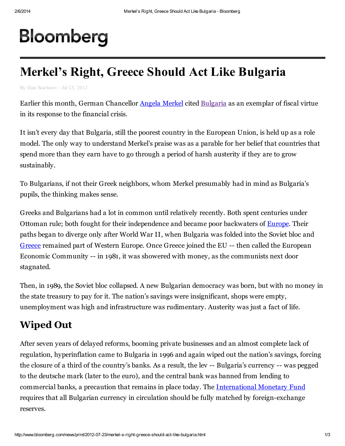## Bloomberg

## Merkel's Right, Greece Should Act Like Bulgaria

By Ilian Scarlatov - Jul 23, 2012

Earlier this month, German Chancellor Angela [Merkel](http://topics.bloomberg.com/angela-merkel/) cited [Bulgaria](http://topics.bloomberg.com/bulgaria/) as an exemplar of fiscal virtue in its response to the financial crisis.

It isn't every day that Bulgaria, still the poorest country in the European Union, is held up as a role model. The only way to understand Merkel's praise was as a parable for her belief that countries that spend more than they earn have to go through a period of harsh austerity if they are to grow sustainably.

To Bulgarians, if not their Greek neighbors, whom Merkel presumably had in mind as Bulgaria's pupils, the thinking makes sense.

Greeks and Bulgarians had a lot in common until relatively recently. Both spent centuries under Ottoman rule; both fought for their independence and became poor backwaters of [Europe.](http://topics.bloomberg.com/europe/) Their paths began to diverge only after World War II, when Bulgaria was folded into the Soviet bloc and [Greece](http://topics.bloomberg.com/greece/) remained part of Western Europe. Once Greece joined the EU -- then called the European Economic Community -- in 1981, it was showered with money, as the communists next door stagnated.

Then, in 1989, the Soviet bloc collapsed. A new Bulgarian democracy was born, but with no money in the state treasury to pay for it. The nation's savings were insignificant, shops were empty, unemployment was high and infrastructure was rudimentary. Austerity was just a fact of life.

## Wiped Out

After seven years of delayed reforms, booming private businesses and an almost complete lack of regulation, hyperinflation came to Bulgaria in 1996 and again wiped out the nation's savings, forcing the closure of a third of the country's banks. As a result, the lev -- Bulgaria's currency -- was pegged to the deutsche mark (later to the euro), and the central bank was banned from lending to commercial banks, a precaution that remains in place today. The [International](http://topics.bloomberg.com/international-monetary-fund/) Monetary Fund requires that all Bulgarian currency in circulation should be fully matched by foreign-exchange reserves.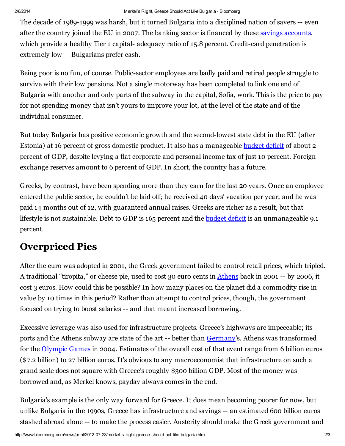The decade of 1989-1999 was harsh, but it turned Bulgaria into a disciplined nation of savers -- even after the country joined the EU in 2007. The banking sector is financed by these savings [accounts,](http://topics.bloomberg.com/savings-accounts/) which provide a healthy Tier 1 capital-adequacy ratio of 15.8 percent. Credit-card penetration is extremely low -- Bulgarians prefer cash.

Being poor is no fun, of course. Public-sector employees are badly paid and retired people struggle to survive with their low pensions. Not a single motorway has been completed to link one end of Bulgaria with another and only parts of the subway in the capital, Sofia, work. This is the price to pay for not spending money that isn't yours to improve your lot, at the level of the state and of the individual consumer.

But today Bulgaria has positive economic growth and the second-lowest state debt in the EU (after Estonia) at 16 percent of gross domestic product. It also has a manageable [budget](http://topics.bloomberg.com/budget-deficit/) deficit of about 2 percent of GDP, despite levying a flat corporate and personal income tax of just 10 percent. Foreignexchange reserves amount to 6 percent of GDP. In short, the country has a future.

Greeks, by contrast, have been spending more than they earn for the last 20 years. Once an employee entered the public sector, he couldn't be laid off; he received 40 days' vacation per year; and he was paid 14 months out of 12, with guaranteed annual raises. Greeks are richer as a result, but that lifestyle is not sustainable. Debt to GDP is 165 percent and the [budget](http://appsso.eurostat.ec.europa.eu/nui/show.do?dataset=gov_dd_edpt1&lang=en) deficit is an unmanageable 9.1 percent.

## Overpriced Pies

After the euro was adopted in 2001, the Greek government failed to control retail prices, which tripled. A traditional "tiropita," or cheese pie, used to cost 30 euro cents in [Athens](http://topics.bloomberg.com/athens/) back in 2001 -- by 2006, it cost 3 euros. How could this be possible? In how many places on the planet did a commodity rise in value by 10 times in this period? Rather than attempt to control prices, though, the government focused on trying to boost salaries -- and that meant increased borrowing.

Excessive leverage was also used for infrastructure projects. Greece's highways are impeccable; its ports and the Athens subway are state of the art -- better than [Germany](http://topics.bloomberg.com/germany/)'s. Athens was transformed for the [Olympic](http://topics.bloomberg.com/olympic-games/) Games in 2004. Estimates of the overall cost of that event range from 6 billion euros (\$7.2 billion) to 27 billion euros. It's obvious to any macroeconomist that infrastructure on such a grand scale does not square with Greece's roughly \$300 billion GDP. Most of the money was borrowed and, as Merkel knows, payday always comes in the end.

Bulgaria's example is the only way forward for Greece. It does mean becoming poorer for now, but unlike Bulgaria in the 1990s, Greece has infrastructure and savings -- an estimated 600 billion euros stashed abroad alone -- to make the process easier. Austerity should make the Greek government and